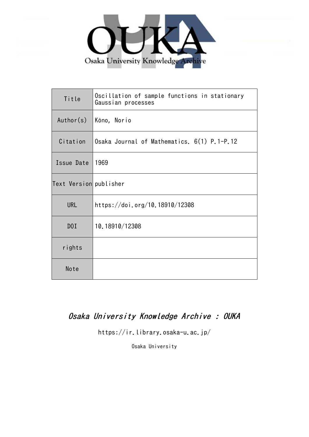

| Title                  | Oscillation of sample functions in stationary<br>Gaussian processes |
|------------------------|---------------------------------------------------------------------|
| Author(s)              | Kôno, Norio                                                         |
| Citation               | Osaka Journal of Mathematics. 6(1) P.1-P.12                         |
| Issue Date             | 1969                                                                |
| Text Version publisher |                                                                     |
| <b>URL</b>             | https://doi.org/10.18910/12308                                      |
| D0I                    | 10.18910/12308                                                      |
| rights                 |                                                                     |
| Note                   |                                                                     |

# Osaka University Knowledge Archive : OUKA

https://ir.library.osaka-u.ac.jp/

Osaka University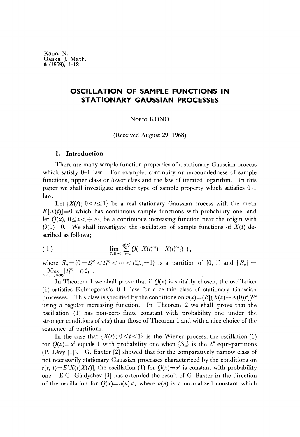## **OSCILLATION OF SAMPLE FUNCTIONS IN STATIONARY GAUSSIAN PROCESSES**

NORIO KÔNO

(Received August 29, 1968)

## **1. Introduction**

There are many sample function properties of a stationary Gaussian process which satisfy 0-1 law. For example, continuity or unboundedness of sample functions, upper class or lower class and the law of iterated logarithm. In this paper we shall investigate another type of sample property which satisfies 0-1 law.

Let  $\{X(t)\,;\,0\leq t\leq 1\}$  be a real stationary Gaussian process with the mean  $E[X(t)]=0$  which has continuous sample functions with probability one, and let  $Q(x)$ ,  $0 \le x \le +\infty$ , be a continuous increasing function near the origin with  $Q(0)=0$ . We shall investigate the oscillation of sample functions of  $X(t)$  described as follows

(1) 
$$
\lim_{||S_n||\to 0} \sum_{i=1}^{m(n)} Q(|X(t_i^{(n)}) - X(t_{i-1}^{(n)})|),
$$

where  $S_n = \{0 = t_0^{(n)} < t_1^{(n)} < \cdots < t_{m(n)}^{(n)} = 1\}$  is a partition of [0, 1] and  $||S_n|| =$  $\max_{i=1,\dots,m(n)} |t_i^{(n)} - t_{i-1}^{(n)}|$ .

In Theorem 1 we shall prove that if  $Q(x)$  is suitably chosen, the oscillation (1) satisfies Kolmogorov's 0-1 law for a certain class of stationary Gaussian processes. This class is specified by the conditions on  $v(x) = (E[(X(x) - X(0))^2])^{1/2}$ using a regular increasing function. In Theorem 2 we shall prove that the oscillation (1) has non-zero finite constant with probability one under the stronger conditions of  $v(x)$  than those of Theorem 1 and with a nice choice of the seguence of partitions.

In the case that  $\{X(t)\,;\,0\leq t\leq 1\}$  is the Wiener process, the oscillation (1) for  $Q(x)=x^2$  equals 1 with probability one when  $\{S_n\}$  is the 2<sup>*n*</sup> equi-partitions (P. Levy [1]). G. Baxter [2] showed that for the comparatively narrow class of not necessarily stationary Gaussian processes characterized by the conditions on  $r(s, t) = E[X(s)X(t)]$ , the oscillation (1) for  $Q(x) = x^2$  is constant with probability one. E.G. Gladyshev [3] has extended the result of G. Baxter in the direction of the oscillation for  $Q(x)=a(n)x^2$ , where  $a(n)$  is a normalized constant which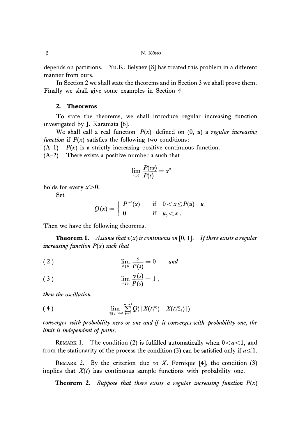depends on partitions. Yu.K. Belyaev [8] has treated this problem in a different manner from ours.

In Section 2 we shall state the theorems and in Section 3 we shall prove them. Finally we shall give some examples in Section 4.

## **2. Theorems**

To state the theorems, we shall introduce regular increasing function investigated by J. Karamata [6].

We shall call a real function *P(x)* defined on (0, *u)* a *regular increasing function* if  $P(x)$  satisfies the following two conditions:

 $(A-1)$   $P(x)$  is a strictly increasing positive continuous function.

(A-2) There exists a positive number a such that

$$
\lim_{s \to 0} \frac{P(sx)}{P(s)} = x^c
$$

holds for every *x>0.*

Set

$$
Q(x) = \begin{cases} P^{-1}(x) & \text{if} \quad 0 < x \le P(u) = u_0 \\ 0 & \text{if} \quad u_0 < x \end{cases}
$$

Then we have the following theorems.

**Theorem 1.** Assume that  $v(x)$  is continuous on [0, 1]. If there exists a regular *increasing function P(x) such that*

$$
\lim_{s \to 0} \frac{s}{P(s)} = 0 \quad \text{and} \quad
$$

(3) 
$$
\lim_{s \to 0} \frac{v(s)}{P(s)} = 1,
$$

*then the oscillation*

(4) 
$$
\lim_{\|S_n\| \to 0} \sum_{i=1}^{m(n)} Q(|X(t_i^{(n)}) - X(t_{i-1}^{(n)})|)
$$

*converges with probability zero or one and if it converges with probability one, the limit is independent of paths.*

REMARK 1. The condition (2) is fulfilled automatically when  $0 < a < 1$ , and from the stationarity of the process the condition (3) can be satisfied only if  $a \leq 1$ .

REMARK 2. By the criterion due to *X.* Fernique [4], the condition (3) implies that *X(t)* has continuous sample functions with probability one.

**Theorem** 2. *Suppose that there exists a regular increasing function P(x)*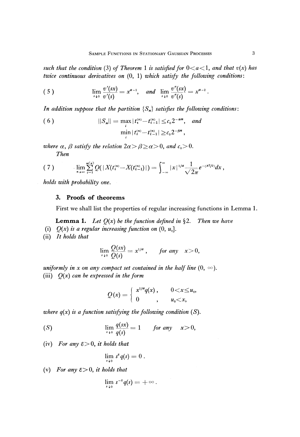*such that the condition* (3) of Theorem 1 is satisfied for  $0 < a < 1$ , and that  $v(x)$  has *twice continuous derivatives on* (0, 1) *which satisfy the following conditions:*

(5) 
$$
\lim_{s \to 0} \frac{v'(sx)}{v'(s)} = x^{a-1}, \text{ and } \lim_{s \to 0} \frac{v''(sx)}{v''(s)} = x^{a-2}.
$$

*In addition suppose that the partition {S<sup>n</sup> } satisfies the following conditions:*

(6) 
$$
||S_n|| = \max_i |t_i^{(n)} - t_{i-1}^{(n)}| \leq c_0 2^{-\alpha n}, \text{ and}
$$

$$
\min_i |t_i^{(n)} - t_{i-1}^{(n)}| \geq c_0 2^{-\beta n},
$$

where  $\alpha$ ,  $\beta$  satisfy the relation  $2\alpha > \beta \ge \alpha > 0$ , and  $c_0 > 0$ . **Then** 

$$
(7) \qquad \lim_{n\to\infty}\sum_{i=1}^{m(n)}Q(|X(t_i^{(n)}-X(t_{i-1}^{(n)})|)=\int_{-\infty}^{\infty}|x|^{1/a}\frac{1}{\sqrt{2\pi}}e^{-(x^2/2)}dx,
$$

*holds with probability one.*

## **3. Proofs of theorems**

First we shall list the properties of regular increasing functions in Lemma 1.

**Lemma 1.** Let  $Q(x)$  be the function defined in  $\S 2$ . Then we have

- (i)  $Q(x)$  is a regular increasing function on  $(0, u_0]$ .
- (ii) *It holds that*

$$
\lim_{s\to 0}\frac{Q(sx)}{Q(s)}=x^{1/a}, \quad \textit{for any} \quad x>0,
$$

*uniformly in x on any compact set contained in the half line*  $(0, \infty)$ . (iii) *Q(x) can be expressed in the form*

$$
Q(x) = \left\{ \begin{array}{ll} x^{1/a} q(x) , & 0 < x \le u_0, \\ 0 , & u_0 < x, \end{array} \right.
$$

*where q(x) is a function satisfying the following condition (S).*

(S) 
$$
\lim_{s \to 0} \frac{q(sx)}{q(s)} = 1 \quad \text{for any} \quad x > 0,
$$

(iv) For any  $\varepsilon > 0$ , it holds that

$$
\lim_{s\downarrow 0} s^{\epsilon} q(s) = 0.
$$

(v) For any  $\varepsilon > 0$ , it holds that

$$
\lim_{s\downarrow 0} s^{-s} q(s) = +\infty.
$$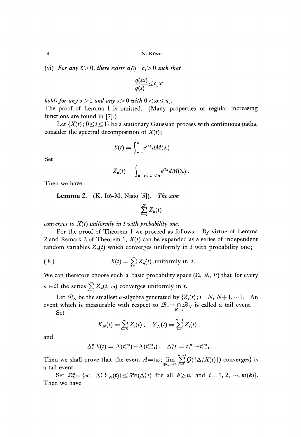(vi) For any  $\varepsilon > 0$ , there exists  $c(\varepsilon) = c_1 > 0$  such that

$$
\frac{q(sx)}{q(s)} \leq c_1 x^{\varepsilon}
$$

*holds for any*  $x \ge 1$  *and any*  $s > 0$  with  $0 < s x \le u_0$ .

The proof of Lemma 1 is omitted. (Many properties of regular increasing functions are found in [7].)

Let  $\{X(t)\,;\,0\leq t\leq 1\}$  be a stationary Gaussian process with continuous paths. consider the spectral decomposition of  $X(t)$ ;

$$
X(t)=\int_{-\infty}^{\infty}e^{i\lambda t} dM(\lambda).
$$

Set

$$
Z_n(t)=\int_{n-1\leq |\lambda|\leq n}e^{i\lambda t}dM(\lambda).
$$

Then we have

## **Lemma** 2. (K. Itό-M. Nisio [5]). *The sum*

$$
\sum_{n=1}^N Z_n(t)
$$

*converges to X(f) uniformly in t with probability one.*

For the proof of Theorem 1 we proceed as follows. By virtue of Lemma 2 and Remark 2 of Theorem 1, *X(f)* can be expanded as a series of independent random variables  $Z_n(t)$  which converges uniformly in  $t$  with probability one;

(8) 
$$
X(t) = \sum_{n=1}^{\infty} Z_n(t) \text{ uniformly in } t.
$$

We can therefore choose such a basic probability space  $(\Omega, \mathcal{B}, P)$  that for every  $\omega \in \Omega$  the series  $\sum_{n=1}^{\infty} Z_n(t, \omega)$  converges uniformly in t.

Let  $\mathscr{B}_{N}$  be the smallest  $\sigma$ -algebra generated by  $\{Z_{i}(t)\colon i{=} N, N{+}1,\cdots\}$ . An event which is measurable with respect to  $\mathcal{B}_{\infty}=\bigcap_{N=1} \mathcal{B}_N$  is called a tail event.

Set

$$
X_N(t) = \sum_{i=N}^{\infty} Z_i(t) , \quad Y_N(t) = \sum_{i=1}^{N-1} Z_i(t) ,
$$

and

$$
\Delta_i^n X(t) = X(t_i^{(n)}) - X(t_{i-1}^{(n)}) , \quad \Delta_i^n t = t_i^{(n)} - t_{i-1}^{(n)} .
$$

Then we shall prove that the event  $A = \{\omega; \lim_{||S_n|| \to 0} \sum_{i=1}^{m(n)} Q(|\Delta_i^n X(t)|) \text{ converges}\}\)$  is a tail event.

Set  $\Omega_8^n = {\omega; |\Delta_i^k Y_N(t)| \leq \delta^2 v(\Delta_i^k t)}$  for all  $k \geq n$ , and  $i = 1, 2$ , Then we have

 $\boldsymbol{4}$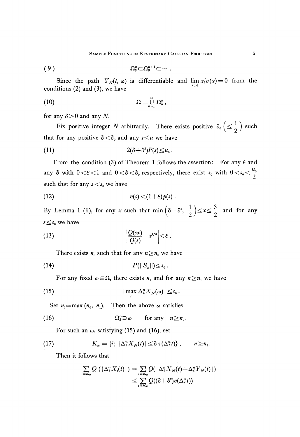$$
(9) \t\t\t\t\t\t\t\t\t\Omega_{\delta}^{n} \subset \Omega_{\delta}^{n+1} \subset \cdots.
$$

Since the path  $Y_N(t, \omega)$  is differentiable and  $\lim_{x \to \infty} x/v(x) = 0$  from the conditions (2) and (3), we have

$$
(10) \t\t\t\t\t\Omega = \bigcup_{n=1}^{\infty} \Omega_8^n,
$$

for any  $\delta$  > 0 and any N.

Fix positive integer N arbitrarily. There exists positive  $\delta_0\left(\leq \frac{1}{2}\right)$  such that for any positive  $\delta < \delta_0$  and any  $s \leq u$  we have

$$
(11) \t2(\delta+\delta^2)P(s)\leq u_0.
$$

From the condition (3) of Theorem 1 follows the assertion: For any  $\varepsilon$  and any  $\delta$  with  $0 < \varepsilon < 1$  and  $0 < \delta < \delta_0$  respectively, there exist  $s_0$  with  $0 < s_0 < \frac{u_0}{2}$ such that for any  $s < s_0$  we have

$$
(12) \t v(s) < (1+\varepsilon)p(s).
$$

By Lemma 1 (ii), for any *x* such that min $\left(\delta + \delta^2, \frac{1}{2}\right) \le x \le \frac{3}{2}$  and for any  $s \leq s_0$  we have

$$
(13) \qquad \qquad \left|\frac{Q(sx)}{Q(s)}-x^{1/a}\right|<\varepsilon.
$$

There exists  $n_0$  such that for any  $n \geq n_0$  we have

$$
(14) \t\t\t P(||S_n||) \leq s_0.
$$

For any fixed  $\omega \in \Omega$ , there exists  $n_1$  and for any  $n \geq n_1$  we have

$$
|\max_i \Delta_i^n X_N(\omega)| \leq s_0.
$$

Set  $n_2$ =max ( $n_0$ ,  $n_1$ ). Then the above  $\omega$  satisfies

(16) 
$$
\Omega_{\delta}^n \ni \omega \quad \text{for any} \quad n \geq n_2.
$$

For such an  $\omega$ , satisfying (15) and (16), set

(17) 
$$
K_n = \{i; |\Delta_i^n X_N(t)| \leq \delta v(\Delta_i^n t)\}, \quad n \geq n_2.
$$

Then it follows that

$$
\sum_{i \in K_n} Q\left( |\Delta_i^n X_i(t)| \right) = \sum_{i \in K_n} Q(|\Delta_i^n X_N(t) + \Delta_i^n Y_N(t)|)
$$
  

$$
\leq \sum_{i \in K_n} Q((\delta + \delta^2)v(\Delta_i^n t))
$$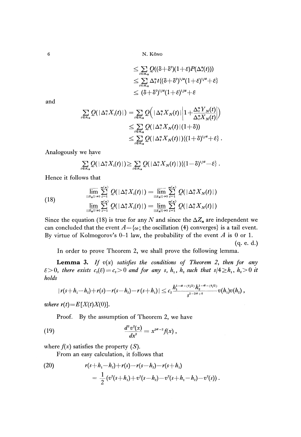$$
\leq \sum_{i \in K_n} Q((\delta + \delta^2)(1+\varepsilon)P(\Delta^n_i(t)))
$$
  
\n
$$
\leq \sum_{i \in K_n} \Delta^n_i t\{(\delta + \delta^2)^{1/a}(1+\varepsilon)^{1/a} + \varepsilon\}
$$
  
\n
$$
\leq (\delta + \delta^2)^{1/a}(1+\varepsilon)^{1/a} + \varepsilon
$$

and

$$
\sum_{i \in K_n} Q(|\Delta_i^n X_i(t)|) = \sum_{i \in K_n} Q(|\Delta_i^n X_N(t)| \left| 1 + \frac{\Delta_i^n Y_N(t)}{\Delta_i^n X_N(t)} \right|)
$$
  

$$
\leq \sum_{i \in K_n} Q(|\Delta_i^n X_N(t)| (1+\delta))
$$
  

$$
\leq \sum_{i \in K_n} Q(|\Delta_i^n X_N(t)|) \{(1+\delta)^{1/a} + \epsilon\}.
$$

Analogously we have

$$
\sum_{i\in K_n} Q(\left|\Delta_i^n X_i(t)\right|)\geq \sum_{i\in K_n} Q(\left|\Delta_i^n X_N(t)\right|)\left\{(1-\delta)^{1/a}-\varepsilon\right\}.
$$

Hence it follows that

(18) 
$$
\overline{\lim}_{||S_n||\to 0} \sum_{i=1}^{m(n)} Q(|\Delta_i^n X_1(t)|) = \overline{\lim}_{||S_n||\to 0} \sum_{i=1}^{m(n)} Q(|\Delta_i^n X_N(t)|)
$$

$$
\underline{\lim}_{||\overline{S_n}||\to 0} \sum_{i=1}^{m(n)} Q(|\Delta_i^n X_1(t)|) = \underline{\lim}_{||\overline{S_n}||\to 0} \sum_{i=1}^{m(n)} Q(|\Delta_i^n X_N(t)|)
$$

Since the equation (18) is true for any  $N$  and since the  $\Delta Z_n$  are independent we can concluded that the event  $A = \{\omega\}$ ; the oscillation (4) converges} is a tail event. By virtue of Kolmogorov's 0-1 law, the probability of the event *A* is 0 or 1.

(q. e. d.)

In order to prove Theorem 2, we shall prove the following lemma.

**Lemma 3.** *If v(x) satisfies the conditions of Theorem* 2, *then for any*  $\mathcal{E} > 0$ *, there exists*  $c_2(\mathcal{E}) = c_2 > 0$  and for any s,  $h_1$ ,  $h_2$  such that  $s/4 \ge h_1$ ,  $h_2 > 0$  it holds<br>  $|r(s+h_1-h_2)+r(s)-r(s-h_2)-r(s+h_1)| \le c_2 \frac{h_1^{1-a-(\mathcal{E}/2)}h_2^{1-a-(\mathcal{E}/2)}}{s^{2-2a+\mathcal{E}}}v(h_1)v(h_2)$ , *holds*

$$
|r(s+h_1-h_2)+r(s)-r(s-h_2)-r(s+h_1)|\leq c_2\frac{h_1^{1-a-(\epsilon/2)}h_2^{1-a-(\epsilon/2)}}{s^{2-2a+\epsilon}}v(h_1)v(h_2),
$$

*where*  $r(t) = E[X(t)X(0)].$ 

Proof. By the assumption of Theorem 2, we have  
(19) 
$$
\frac{d^2 v^2(x)}{dx^2} = x^{2a-2} f(x),
$$

where *f(x)* satisfies the property *(S).*

From an easy calculation, it follows that

(20) 
$$
r(s+h_1-h_2)+r(s)-r(s-h_2)-r(s+h_1) = \frac{1}{2}(v^2(s+h_1)+v^2(s-h_2)-v^2(s+h_1-h_2)-v^2(s)).
$$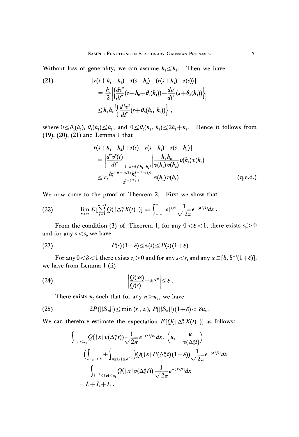Without loss of generality, we can assume  $h_1 \leq h_2$ . Then we have

(21) 
$$
|r(s+h_1-h_2)-r(s-h_2)-(r(s+h_1)-r(s))|
$$

$$
= \frac{h_1}{2} \Big| \Big\{ \frac{dv^2}{dt^2}(s-h_2+\theta_1(h_1)) - \frac{dv^2}{dt^2}(s+\theta_2(h_1)) \Big\} \Big|
$$

$$
\leq h_1 h_2 \Big| \Big\{ \frac{d^2v^2}{dt^2}(s+\theta_3(h_1, h_2)) \Big\} \Big|,
$$

where  $0 \le \theta_1(h_1)$ ,  $\theta_2(h_1) \le h_1$ , and  $0 \le \theta_3(h_1, h_2) \le 2h_1 + h_2$ . Hence it follows from (19), (20), (21) and Lemma 1 that

$$
\begin{split} &\left|r(s+h_1-h_2)+r(s)-r(s-h_2)-r(s+h_1)\right|\\ &=\left|\frac{d^2v^2(t)}{dt^2}\right|_{t=s+\theta_3(h_1,\;h_2)}\left|\frac{h_1h_2}{v(h_1)\,v(h_2)}v(h_1)\,v(h_2)\right|\\ &\leq c_2\frac{h_1^{1-a-(2/2)}h_2^{1-a-(2/2)}}{s^{2-2a+\epsilon}}v(h_1)\,v(h_2)\;.\end{split} \tag{q.e.d.}
$$

We now come to the proof of Theorem 2. First we show that

(22) 
$$
\lim_{n \to \infty} E\left[\sum_{i=1}^{m(n)} Q(|\Delta_i^n X(t)|)\right] = \int_{-\infty}^{\infty} |x|^{1/a} \frac{1}{\sqrt{2\pi}} e^{-(x^2/2)} dx.
$$

From the condition (3) of Theorem 1, for any  $0 < \varepsilon < 1$ , there exists  $s_0 > 0$ and for any  $s < s_0$  we have

(23) 
$$
P(s)(1-\varepsilon) \leq v(s) \leq P(s)(1+\varepsilon)
$$

For any  $0<\delta<1$  there exists  $s_{i}>0$  and for any  $s< s_{i}$  and any  $x{\in}[\delta, \delta^{-1}(1{+}\epsilon)],$ we have from Lemma 1 (ii)

(24) 
$$
\left|\frac{Q(xs)}{Q(s)} - x^{1/a}\right| \leq \varepsilon.
$$

There exists  $n_0$  such that for any  $n \ge n_0$ , we have

(25) 
$$
2P(||S_n||) \leq \min(s_0, s_1), P(||S_n||)(1+\varepsilon) < \delta u_0.
$$

We can therefore estimate the expectation  $E[Q(|\Delta_i^n X(t)|)]$  as follows:

$$
\int_{|x| \le u_1} Q(|x| v(\Delta_i^n t)) \frac{1}{\sqrt{2\pi}} e^{-(x^2/2)} dx, (u_1 = \frac{u_0}{v(\Delta_i^n t)})
$$
\n
$$
= \left( \int_{|x| < \delta} + \int_{\delta \le |x| \le \delta^{-1}} \right) Q(|x| P(\Delta_i^n t) (1+\epsilon)) \frac{1}{\sqrt{2\pi}} e^{-(x^2/2)} dx
$$
\n
$$
+ \int_{\delta^{-1} < |x| \le u_1} Q(|x| v(\Delta_i^n t)) \frac{1}{\sqrt{2\pi}} e^{-(x^2/2)} dx
$$
\n
$$
= I_1 + I_2 + I_3.
$$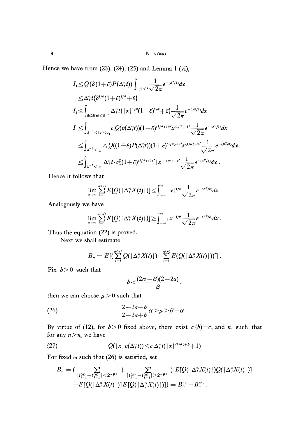Hence we have from (23), (24), (25) and Lemma 1 (vi),

$$
I_{1} \leq Q(\delta(1+\varepsilon)P(\Delta_{i}^{n}t)) \int_{|x| < \delta \sqrt{2\pi}} e^{-(x^{2}/2)} dx
$$
\n
$$
\leq \Delta_{i}^{n} t \{\delta^{1/a}(1+\varepsilon)^{1/a} + \varepsilon\}
$$
\n
$$
I_{2} \leq \int_{\delta \leq \delta |x| \leq \delta^{-1}} \Delta_{i}^{n} t \{|x|^{1/a}(1+\varepsilon)^{1/a} + \varepsilon\} \frac{1}{\sqrt{2\pi}} e^{-(x^{2}/2)} dx
$$
\n
$$
I_{3} \leq \int_{\delta^{-1} < |x| \leq u_{1}} c_{1} Q(v(\Delta_{i}^{n}t))(1+\varepsilon)^{(1/a) + \varepsilon'} x^{(1/a) + \varepsilon'} \frac{1}{\sqrt{2\pi}} e^{-(x^{2}/2)} dx
$$
\n
$$
\leq \int_{\delta^{-1} < |x|} c_{1} Q((1+\varepsilon)P(\Delta_{i}^{n}t))(1+\varepsilon)^{(1/a) + \varepsilon'} x^{(1/a) + \varepsilon'} \frac{1}{\sqrt{2\pi}} e^{-(x^{2}/2)} dx
$$
\n
$$
\leq \int_{\delta^{-1} < |x|} \Delta_{i}^{n} t \cdot c_{1}^{2} (1+\varepsilon)^{(2/a) + 2\varepsilon'} |x|^{(1/a) + \varepsilon'} \frac{1}{\sqrt{2\pi}} e^{-(x^{2}/2)} dx.
$$

Hence it follows that

$$
\lim_{n\to\infty}\sum_{i=1}^{m(n)}E\left[Q(|\Delta_i^nX(t)|)\right]\leq\int_{-\infty}^{\infty}|x|^{1/a}\frac{1}{\sqrt{2\pi}}e^{-(x^2/2)}dx.
$$

Analogously we have

$$
\lim_{n\to\infty}\sum_{i=1}^{m(n)}E\left[Q(|\Delta^n_iX(t)|)\right]\geq \int_{-\infty}^{\infty}|x|^{1/a}\frac{1}{\sqrt{2\pi}}e^{-(x^2/2)}dx.
$$

Thus the equation (22) is proved.

Next we shall estimate

$$
B_n = E\left[\left(\sum_{i=1}^{m(n)} Q(\lceil \Delta_i^n X(t) \rceil) - \sum_{i=1}^{m(n)} E(Q(\lceil \Delta_i^n X(t) \rceil))^2\right].
$$

Fix  $b > 0$  such that

$$
b<\frac{(2\alpha-\beta)(2-2a)}{\beta},
$$

then we can choose  $\mu > 0$  such that

$$
(26) \qquad \qquad \frac{2-2a-b}{2-2a+b}\alpha > \mu > \beta - \alpha.
$$

By virtue of (12), for  $b > 0$  fixed above, there exist  $c_3(b) = c_3$  and  $n_0$  such that for any  $n \geq n_0$  we have

$$
(27) \tQ(|x|v(\Delta_i^n t)) \leq c_3 \Delta_i^n t(|x|^{(1/a)+b}+1)
$$

For fixed  $\omega$  such that (26) is satisfied, set

$$
B_n = (\sum_{|t_{i-1}^{(n)} - t_{j-1}^{(n)}| < 2^{-\mu n}} + \sum_{|t_{i-1}^{(n)} - t_{j-1}^{(n)}| \ge 2^{-\mu n}}) \{E[Q(|\Delta_i^n X(t)|)Q(|\Delta_j^n X(t)|)] - E[Q(|\Delta_i^n X(t)|)]E[Q(|\Delta_j^n X(t)|)])\} = B_n^{(1)} + B_n^{(2)}.
$$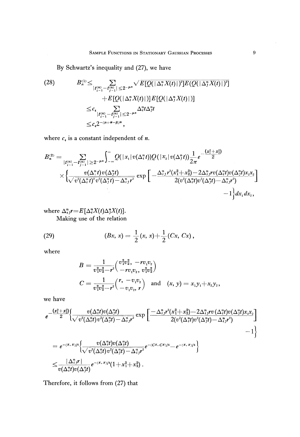**By Schwartz's inequality and (27), we have**

(28) 
$$
B_{n}^{(1)} \leq \sum_{|t_{i-1}^{(n)} - t_{j-1}^{(n)}| \leq 2^{-\mu n}} \sqrt{E\left[Q(|\Delta_{i}^{n}X(t)|)^{2}\right]E\left(Q(|\Delta_{j}^{n}X(t)|)^{2}\right]} + E\left[Q(|\Delta_{i}^{n}X(t)|)\right]E\left[Q(|\Delta_{j}^{n}X(t)|)\right] \n\leq c_{4} \sum_{|t_{i-1}^{(n)} - t_{j-1}^{(n)}| \leq 2^{-\mu n}} \Delta_{i}^{n}t\Delta_{j}^{n}t \n\leq c_{4} 2^{-(\mu + \alpha - \beta)^{n}},
$$

where  $c_4$  is a constant independent of *n*.

$$
\begin{aligned} B_n^{(2)}=&\sum_{|t_{i-1}^{(n)}-t_{j-1}^{(n)}|\geq 2^{-\mu n}}\int_{-\infty}^{\infty} &Q(|x_1|v(\Delta_i^nt))Q(|x_2|v(\Delta_j^nt))\frac{1}{2\pi}e^{-\frac{(x_1^2+x_2^2)}{2}}\\&\times\bigg\{\frac{v(\Delta_i^nt)v(\Delta_j^nt)}{\sqrt{v^2(\Delta_i^nt)^2v^2(\Delta_j^nt)-\Delta_{ij}^nr^2}}\exp\bigg[-\frac{\Delta_{ij}^nr^2(x_1^2+x_2^2)-2\Delta_{ij}^nrv(\Delta_i^nt)v(\Delta_j^nt)x_ix_2}{2(v^2(\Delta_i^nt)v^2(\Delta_j^nt)-\Delta_{ij}^nr^2)}\bigg]\\&-1\bigg\}dx_1dx_2,\end{aligned}
$$

where 
$$
\Delta_{i,j}^{n}r = E[\Delta_{i}^{n}X(t)\Delta_{j}^{n}X(t)].
$$
  
Making use of the relation

(29) 
$$
(Bx, x) = \frac{1}{2}(x, x) + \frac{1}{2}(Cx, Cx),
$$

where

$$
B = \frac{1}{v_1^2 v_2^2 - r^2} \left( \frac{v_1^2 v_2^2}{-r v_1 v_2}, \frac{v_1^2 v_2^2}{v_1^2 v_2^2} \right)
$$
  

$$
C = \frac{1}{v_1^2 v_2^2 - r^2} \left( \frac{r, -v_1 v_2}{-v_1 v_2}, \frac{r}{r} \right) \text{ and } (x, y) = x_1 y_1 + x_2 y_2,
$$

we have

$$
\begin{aligned} &e^{-\frac{\left(x_i^2+x_i^2\right)}{2}}\Big\{\frac{v(\Delta_i^nt)v(\Delta_j^nt)}{\sqrt{v^2(\Delta_i^nt)v^2(\Delta_j^nt)-\Delta_i^ny^2}}\exp\left[\frac{-\Delta_i^ny^2(x_1^2+x_2^2)-2\Delta_i^nyv(\Delta_i^nt)v(\Delta_i^nt)v(\Delta_j^nt)x_ix_2}{2(v^2(\Delta_i^nt)v^2(\Delta_j^nt)-\Delta_i^ny^2)}\right] \\ &=e^{-\left(x,\,x\right)/4}\Big\{\frac{v(\Delta_i^nt)v(\Delta_j^nt)}{\sqrt{v^2(\Delta_i^nt)v^2(\Delta_j^nt)-\Delta_i^ny^2}}e^{-\left(Cx,\,Cx\right)/4}-e^{-\left(x,\,x\right)/4}\Big\} \\ &\leq\frac{|\Delta_i^ny|^{\ }|}{v(\Delta_i^nt)v(\Delta_j^nt)}e^{-\left(x,\,x\right)/4}(1+x_1^2+x_2^2)\, .\end{aligned}
$$

Therefore, it follows from (27) that

 $\hat{\boldsymbol{\beta}}$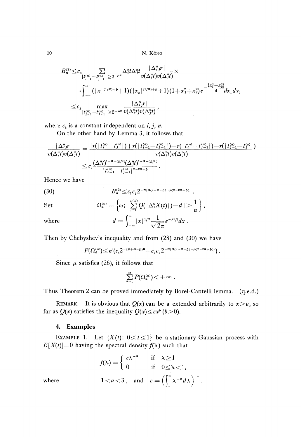N. Kôno  
\n
$$
B_n^{(2)} \leq c_3 \sum_{|t_{i-1}^{(n)} - t_{j-1}^{(n)}| \geq 2^{-\mu n}} \Delta_i^n t \Delta_j^n t \frac{|\Delta_i^n r|}{v(\Delta_i^n t)v(\Delta_j^n t)} \times
$$
\n
$$
\cdot \int_{-\infty}^{\infty} (|x|^{(1/4)+b} + 1)(|x_2|^{(1/4)+b} + 1)(1 + x_1^2 + x_2^2) e^{-\frac{(x_1^2 + x_2^2)}{4}} dx_1 dx_2
$$
\n
$$
\leq c_5 \max_{|t_{i-1}^{(n)} - t_{j-1}^{(n)}| \geq 2^{-\mu n}} \frac{|\Delta_i^n r|}{v(\Delta_i^n t)v(\Delta_j^n t)},
$$
\n
$$
c_5 \text{ is a constant independent on } i, j, n.
$$
\nIn the other hand, by L among 2, it follows that

where  $c_5$  is a constant independent on  $i, j, n$ .

On the other hand by Lemma 3, it follows that

$$
\begin{aligned} \frac{|\Delta_{i,j}^n r|}{v(\Delta_i^n t)v(\Delta_j^n t)} &= \frac{|r| (|t_i^{(n)} - t_j^{(n)}|) + r(|t_{i-1}^{(n)} - t_{j-1}^{(n)}|) - r(|t_i^{(n)} - t_{j-1}^{(n)}|) - r(|t_{j-1}^{(n)} - t_j^{(n)}|)}{v(\Delta_i^n t)v(\Delta_j^n t)} \\ &\leq c_2 \frac{(\Delta_i^n t)^{1 - a - (b/2)} (\Delta_j^n t)^{1 - a - (b/2)}}{|t_{i-1}^{(n)} - t_{j-1}^{(n)}|^{\frac{2 - 2a + b}{c}}} \, .\end{aligned}
$$

Hence we have

(30) 
$$
B_n^{(2)} \leq c_2 c_5 2^{-n(\alpha(2+a-b)-\mu(2-2a+b))}
$$

Set 
$$
\Omega_a^{(n)} = \left\{\omega \,;\, \big|\sum_{i=1}^{m(n)} Q(\,|\,\Delta_i^n X(t)\,| \,)-d\,|\,\sum \frac{1}{n}\right\},
$$
 where 
$$
d = \int_{-\infty}^{\infty} |x|^{1/d} \frac{1}{\sqrt{2\pi}} e^{-x^2/2} dx.
$$

Then by Chebyshev's inequality and from (28) and (30) we have

$$
P(\Omega_a^{(n)}) \leq n^2 (c_4 2^{-(\mu+\alpha-\beta)n} + c_2 c_5 2^{-n(\alpha(2+a-b)-\mu(2-2a+b))}).
$$

Since  $\mu$  satisfies (26), it follows that

$$
\sum_{n=1}^{\infty} P(\Omega_d^{(n)}) < +\infty.
$$

Thus Theorem 2 can be proved immediately by Borel-Cantelli lemma, (q.e.d.)

REMARK. It is obvious that  $Q(x)$  can be a extended arbitrarily to  $x > u_0$  so far as  $Q(x)$  satisfies the inequality  $Q(x) \leq cx^b$  ( $b > 0$ ).

## **4. Examples**

EXAMPLE 1. Let  $\{X(t): 0 \le t \le 1\}$  be a stationary Gaussian process with  $E[X(t)]=0$  having the spectral density  $f(\lambda)$  such that

$$
f(\lambda) = \begin{cases} c\lambda^{-a} & \text{if } \lambda \ge 1 \\ 0 & \text{if } 0 \le \lambda < 1, \end{cases}
$$
  
where  $1 < a < 3$ , and  $c = \left(\int_{1}^{\infty} \lambda^{-a} d\lambda\right)^{-1}$ .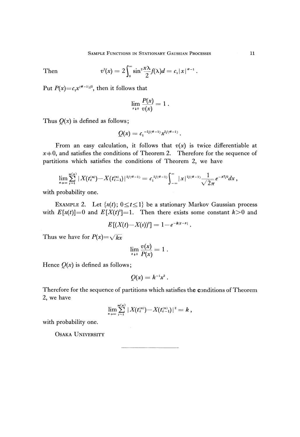Then 
$$
v^{2}(x) = 2 \int_{0}^{\infty} \sin^{2} \frac{x \lambda}{2} f(\lambda) d = c_{1} |x|^{a-1}.
$$

Put  $P(x)=c_1x^{(a-1)/2}$ , then it follows that

$$
\lim_{x\downarrow 0}\frac{P(x)}{v(x)}=1.
$$

Thus  $Q(x)$  is defined as follows;

$$
Q(x) = c_1^{-2/(a-1)} x^{2/(a-1)}.
$$

From an easy calculation, it follows that  $v(x)$  is twice differentiable at  $x \neq 0$ , and satisfies the conditions of Theorem 2. Therefore for the sequence of partitions which satisfies the conditions of Theorem 2, we have

$$
\lim_{n\to\infty}\sum_{i=1}^{m(n)}|X(t_i^{(n)})-X(t_{i-1}^{(n)})|^{2/(a-1)}=c_1^{2/(a-1)}\int_{-\infty}^{\infty}|x|^{2/(a-1)}\frac{1}{\sqrt{2\pi}}e^{-x^2/2}dx,
$$

with probability one.

EXAMPLE 2. Let  $\{x(t); 0 \le t \le 1\}$  be a stationary Markov Gaussian process with  $E[x(t)]=0$  and  $E[X(t)]=1$ . Then there exists some constant  $k>0$  and

$$
E[(X(t)-X(s))^2] = 1 - e^{-k|t-s|}
$$

Thus we have for  $P(x) = \sqrt{kx}$ 

$$
\lim_{x\to 0}\frac{v(x)}{P(x)}=1.
$$

Hence  $Q(x)$  is defined as follows;

$$
Q(x)=k^{-1}x^2.
$$

Therefore for the sequence of partitions which satisfies the conditions of Theorem 2, we have

$$
\lim_{n\to\infty}\sum_{i=1}^{m(n)}|X(t_i^{(n)})-X(t_{i-1}^{(n)})|^2=k\ ,
$$

with probability one.

OSAKA UNIVERSITY